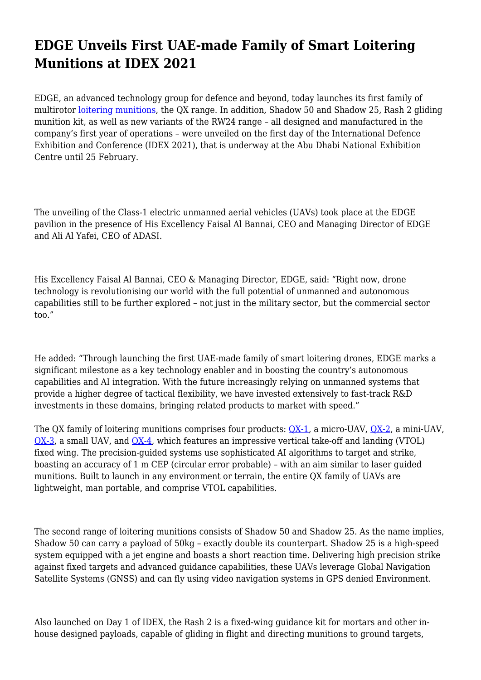## **EDGE Unveils First UAE-made Family of Smart Loitering Munitions at IDEX 2021**

EDGE, an advanced technology group for defence and beyond, today launches its first family of multirotor [loitering munitions,](https://adasi.ae/product/unmanned-aerial-vehicle-lm) the QX range. In addition, Shadow 50 and Shadow 25, Rash 2 gliding munition kit, as well as new variants of the RW24 range – all designed and manufactured in the company's first year of operations – were unveiled on the first day of the International Defence Exhibition and Conference (IDEX 2021), that is underway at the Abu Dhabi National Exhibition Centre until 25 February.

The unveiling of the Class-1 electric unmanned aerial vehicles (UAVs) took place at the EDGE pavilion in the presence of His Excellency Faisal Al Bannai, CEO and Managing Director of EDGE and Ali Al Yafei, CEO of ADASI.

His Excellency Faisal Al Bannai, CEO & Managing Director, EDGE, said: "Right now, drone technology is revolutionising our world with the full potential of unmanned and autonomous capabilities still to be further explored – not just in the military sector, but the commercial sector too."

He added: "Through launching the first UAE-made family of smart loitering drones, EDGE marks a significant milestone as a key technology enabler and in boosting the country's autonomous capabilities and AI integration. With the future increasingly relying on unmanned systems that provide a higher degree of tactical flexibility, we have invested extensively to fast-track R&D investments in these domains, bringing related products to market with speed."

The QX family of loitering munitions comprises four products: [QX-1](https://adasi.ae/product-detail/qx-1-loitering-munitions), a micro-UAV, [QX-2](https://adasi.ae/product-detail/qx-2-loitering-munitions), a mini-UAV, [QX-3](https://adasi.ae/product-detail/qx-3-loitering-munitions), a small UAV, and [QX-4,](https://adasi.ae/product-detail/qx-4-loitering-munitions) which features an impressive vertical take-off and landing (VTOL) fixed wing. The precision-guided systems use sophisticated AI algorithms to target and strike, boasting an accuracy of 1 m CEP (circular error probable) – with an aim similar to laser guided munitions. Built to launch in any environment or terrain, the entire QX family of UAVs are lightweight, man portable, and comprise VTOL capabilities.

The second range of loitering munitions consists of Shadow 50 and Shadow 25. As the name implies, Shadow 50 can carry a payload of 50kg – exactly double its counterpart. Shadow 25 is a high-speed system equipped with a jet engine and boasts a short reaction time. Delivering high precision strike against fixed targets and advanced guidance capabilities, these UAVs leverage Global Navigation Satellite Systems (GNSS) and can fly using video navigation systems in GPS denied Environment.

Also launched on Day 1 of IDEX, the Rash 2 is a fixed-wing guidance kit for mortars and other inhouse designed payloads, capable of gliding in flight and directing munitions to ground targets,